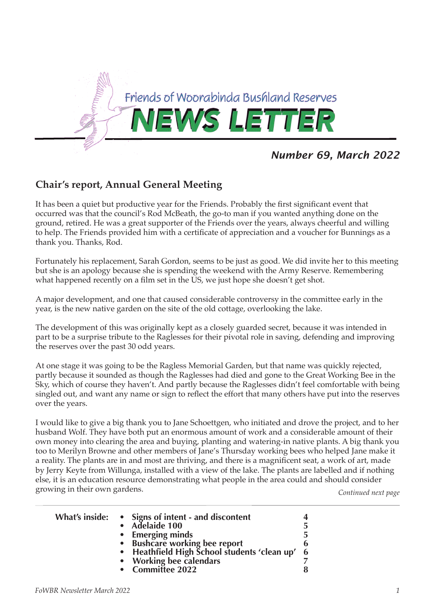

# *Number 69, March 2022*

# **Chair's report, Annual General Meeting**

It has been a quiet but productive year for the Friends. Probably the first significant event that occurred was that the council's Rod McBeath, the go-to man if you wanted anything done on the ground, retired. He was a great supporter of the Friends over the years, always cheerful and willing to help. The Friends provided him with a certificate of appreciation and a voucher for Bunnings as a thank you. Thanks, Rod.

Fortunately his replacement, Sarah Gordon, seems to be just as good. We did invite her to this meeting but she is an apology because she is spending the weekend with the Army Reserve. Remembering what happened recently on a film set in the US, we just hope she doesn't get shot.

A major development, and one that caused considerable controversy in the committee early in the year, is the new native garden on the site of the old cottage, overlooking the lake.

The development of this was originally kept as a closely guarded secret, because it was intended in part to be a surprise tribute to the Raglesses for their pivotal role in saving, defending and improving the reserves over the past 30 odd years.

At one stage it was going to be the Ragless Memorial Garden, but that name was quickly rejected, partly because it sounded as though the Raglesses had died and gone to the Great Working Bee in the Sky, which of course they haven't. And partly because the Raglesses didn't feel comfortable with being singled out, and want any name or sign to reflect the effort that many others have put into the reserves over the years.

I would like to give a big thank you to Jane Schoettgen, who initiated and drove the project, and to her husband Wolf. They have both put an enormous amount of work and a considerable amount of their own money into clearing the area and buying, planting and watering-in native plants. A big thank you too to Merilyn Browne and other members of Jane's Thursday working bees who helped Jane make it a reality. The plants are in and most are thriving, and there is a magnificent seat, a work of art, made by Jerry Keyte from Willunga, installed with a view of the lake. The plants are labelled and if nothing else, it is an education resource demonstrating what people in the area could and should consider growing in their own gardens. *Continued next page*

|  | What's inside: • Signs of intent - and discontent<br>• Adelaide 100<br><b>Emerging minds</b><br><b>Bushcare working bee report</b><br>• Heathfield High School students 'clean up' | 5<br>5<br>6<br>6 |
|--|------------------------------------------------------------------------------------------------------------------------------------------------------------------------------------|------------------|
|  | • Working bee calendars                                                                                                                                                            |                  |
|  | • Committee 2022                                                                                                                                                                   | 8                |
|  |                                                                                                                                                                                    |                  |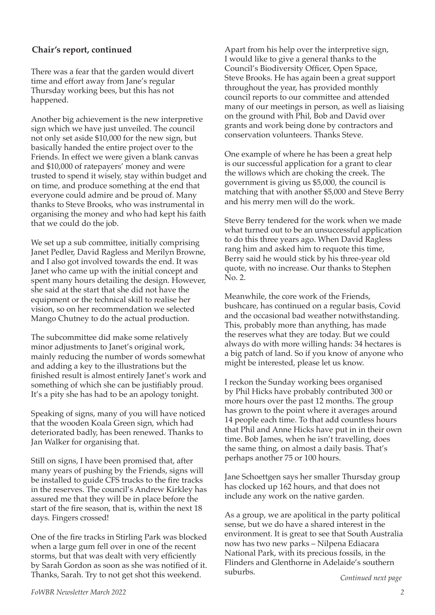## **Chair's report, continued**

There was a fear that the garden would divert time and effort away from Jane's regular Thursday working bees, but this has not happened.

Another big achievement is the new interpretive sign which we have just unveiled. The council not only set aside \$10,000 for the new sign, but basically handed the entire project over to the Friends. In effect we were given a blank canvas and \$10,000 of ratepayers' money and were trusted to spend it wisely, stay within budget and on time, and produce something at the end that everyone could admire and be proud of. Many thanks to Steve Brooks, who was instrumental in organising the money and who had kept his faith that we could do the job.

We set up a sub committee, initially comprising Janet Pedler, David Ragless and Merilyn Browne, and I also got involved towards the end. It was Janet who came up with the initial concept and spent many hours detailing the design. However, she said at the start that she did not have the equipment or the technical skill to realise her vision, so on her recommendation we selected Mango Chutney to do the actual production.

The subcommittee did make some relatively minor adjustments to Janet's original work, mainly reducing the number of words somewhat and adding a key to the illustrations but the finished result is almost entirely Janet's work and something of which she can be justifiably proud. It's a pity she has had to be an apology tonight.

Speaking of signs, many of you will have noticed that the wooden Koala Green sign, which had deteriorated badly, has been renewed. Thanks to Jan Walker for organising that.

Still on signs, I have been promised that, after many years of pushing by the Friends, signs will be installed to guide CFS trucks to the fire tracks in the reserves. The council's Andrew Kirkley has assured me that they will be in place before the start of the fire season, that is, within the next 18 days. Fingers crossed!

One of the fire tracks in Stirling Park was blocked when a large gum fell over in one of the recent storms, but that was dealt with very efficiently by Sarah Gordon as soon as she was notified of it. Thanks, Sarah. Try to not get shot this weekend.

Apart from his help over the interpretive sign, I would like to give a general thanks to the Council's Biodiversity Officer, Open Space, Steve Brooks. He has again been a great support throughout the year, has provided monthly council reports to our committee and attended many of our meetings in person, as well as liaising on the ground with Phil, Bob and David over grants and work being done by contractors and conservation volunteers. Thanks Steve.

One example of where he has been a great help is our successful application for a grant to clear the willows which are choking the creek. The government is giving us \$5,000, the council is matching that with another \$5,000 and Steve Berry and his merry men will do the work.

Steve Berry tendered for the work when we made what turned out to be an unsuccessful application to do this three years ago. When David Ragless rang him and asked him to requote this time, Berry said he would stick by his three-year old quote, with no increase. Our thanks to Stephen No. 2.

Meanwhile, the core work of the Friends, bushcare, has continued on a regular basis, Covid and the occasional bad weather notwithstanding. This, probably more than anything, has made the reserves what they are today. But we could always do with more willing hands: 34 hectares is a big patch of land. So if you know of anyone who might be interested, please let us know.

I reckon the Sunday working bees organised by Phil Hicks have probably contributed 300 or more hours over the past 12 months. The group has grown to the point where it averages around 14 people each time. To that add countless hours that Phil and Anne Hicks have put in in their own time. Bob James, when he isn't travelling, does the same thing, on almost a daily basis. That's perhaps another 75 or 100 hours.

Jane Schoettgen says her smaller Thursday group has clocked up 162 hours, and that does not include any work on the native garden.

As a group, we are apolitical in the party political sense, but we do have a shared interest in the environment. It is great to see that South Australia now has two new parks – Nilpena Ediacara National Park, with its precious fossils, in the Flinders and Glenthorne in Adelaide's southern suburbs.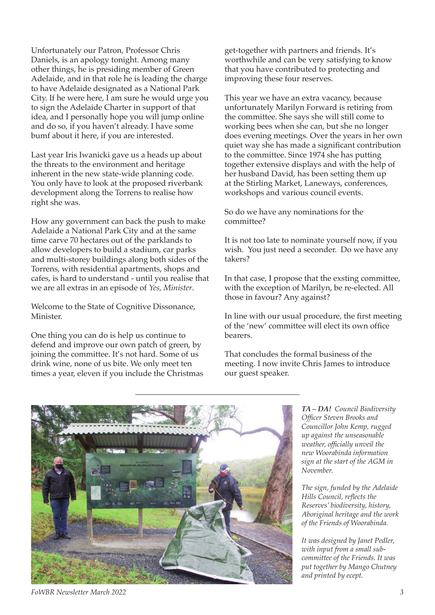Unfortunately our Patron, Professor Chris Daniels, is an apology tonight. Among many other things, he is presiding member of Green Adelaide, and in that role he is leading the charge to have Adelaide designated as a National Park City. If he were here, I am sure he would urge you to sign the Adelaide Charter in support of that idea, and I personally hope you will jump online and do so, if you haven't already. I have some bumf about it here, if you are interested.

Last year Iris Iwanicki gave us a heads up about the threats to the environment and heritage inherent in the new state-wide planning code. You only have to look at the proposed riverbank development along the Torrens to realise how right she was.

How any government can back the push to make Adelaide a National Park City and at the same time carve 70 hectares out of the parklands to allow developers to build a stadium, car parks and multi-storey buildings along both sides of the Torrens, with residential apartments, shops and cafes, is hard to understand - until you realise that we are all extras in an episode of *Yes, Minister*.

Welcome to the State of Cognitive Dissonance, Minister.

One thing you can do is help us continue to defend and improve our own patch of green, by joining the committee. It's not hard. Some of us drink wine, none of us bite. We only meet ten times a year, eleven if you include the Christmas get-together with partners and friends. It's worthwhile and can be very satisfying to know that you have contributed to protecting and improving these four reserves.

This year we have an extra vacancy, because unfortunately Marilyn Forward is retiring from the committee. She says she will still come to working bees when she can, but she no longer does evening meetings. Over the years in her own quiet way she has made a significant contribution to the committee. Since 1974 she has putting together extensive displays and with the help of her husband David, has been setting them up at the Stirling Market, Laneways, conferences, workshops and various council events.

So do we have any nominations for the committee?

It is not too late to nominate yourself now, if you wish. You just need a seconder. Do we have any takers?

In that case, I propose that the exsting committee, with the exception of Marilyn, be re-elected. All those in favour? Any against?

In line with our usual procedure, the first meeting of the 'new' committee will elect its own office bearers.

That concludes the formal business of the meeting. I now invite Chris James to introduce our guest speaker.



*TA – DA! Council Biodiversity Officer Steven Brooks and Councillor John Kemp, rugged up against the unseasonable weather, officially unveil the new Woorabinda information sign at the start of the AGM in November.*

*The sign, funded by the Adelaide Hills Council, reflects the Reserves' biodiversity, history, Aboriginal heritage and the work of the Friends of Woorabinda.*

*It was designed by Janet Pedler, with input from a small subcommittee of the Friends. It was put together by Mango Chutney and printed by ecept.* 

*FoWBR Newsletter March 2022 3*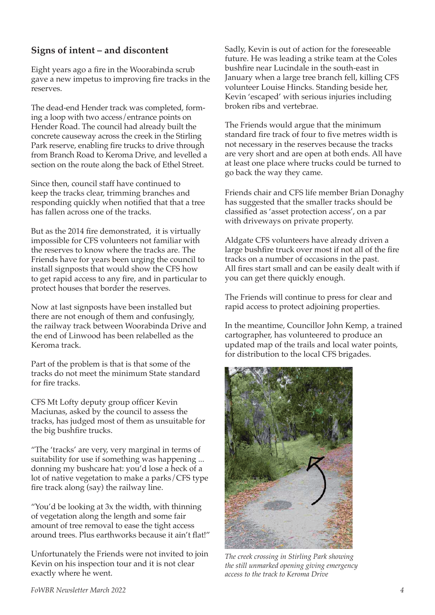## **Signs of intent – and discontent**

Eight years ago a fire in the Woorabinda scrub gave a new impetus to improving fire tracks in the reserves.

The dead-end Hender track was completed, forming a loop with two access/entrance points on Hender Road. The council had already built the concrete causeway across the creek in the Stirling Park reserve, enabling fire trucks to drive through from Branch Road to Keroma Drive, and levelled a section on the route along the back of Ethel Street.

Since then, council staff have continued to keep the tracks clear, trimming branches and responding quickly when notified that that a tree has fallen across one of the tracks.

But as the 2014 fire demonstrated, it is virtually impossible for CFS volunteers not familiar with the reserves to know where the tracks are. The Friends have for years been urging the council to install signposts that would show the CFS how to get rapid access to any fire, and in particular to protect houses that border the reserves.

Now at last signposts have been installed but there are not enough of them and confusingly, the railway track between Woorabinda Drive and the end of Linwood has been relabelled as the Keroma track.

Part of the problem is that is that some of the tracks do not meet the minimum State standard for fire tracks.

CFS Mt Lofty deputy group officer Kevin Maciunas, asked by the council to assess the tracks, has judged most of them as unsuitable for the big bushfire trucks.

"The 'tracks' are very, very marginal in terms of suitability for use if something was happening ... donning my bushcare hat: you'd lose a heck of a lot of native vegetation to make a parks/CFS type fire track along (say) the railway line.

"You'd be looking at 3x the width, with thinning of vegetation along the length and some fair amount of tree removal to ease the tight access around trees. Plus earthworks because it ain't flat!"

Unfortunately the Friends were not invited to join Kevin on his inspection tour and it is not clear exactly where he went.

Sadly, Kevin is out of action for the foreseeable future. He was leading a strike team at the Coles bushfire near Lucindale in the south-east in January when a large tree branch fell, killing CFS volunteer Louise Hincks. Standing beside her, Kevin 'escaped' with serious injuries including broken ribs and vertebrae.

The Friends would argue that the minimum standard fire track of four to five metres width is not necessary in the reserves because the tracks are very short and are open at both ends. All have at least one place where trucks could be turned to go back the way they came.

Friends chair and CFS life member Brian Donaghy has suggested that the smaller tracks should be classified as 'asset protection access', on a par with driveways on private property.

Aldgate CFS volunteers have already driven a large bushfire truck over most if not all of the fire tracks on a number of occasions in the past. All fires start small and can be easily dealt with if you can get there quickly enough.

The Friends will continue to press for clear and rapid access to protect adjoining properties.

In the meantime, Councillor John Kemp, a trained cartographer, has volunteered to produce an updated map of the trails and local water points, for distribution to the local CFS brigades.



*The creek crossing in Stirling Park showing the still unmarked opening giving emergency access to the track to Keroma Drive*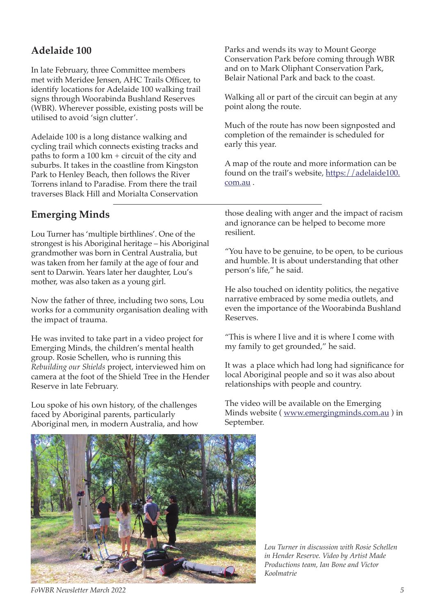# **Adelaide 100**

In late February, three Committee members met with Meridee Jensen, AHC Trails Officer, to identify locations for Adelaide 100 walking trail signs through Woorabinda Bushland Reserves (WBR). Wherever possible, existing posts will be utilised to avoid 'sign clutter'.

Adelaide 100 is a long distance walking and cycling trail which connects existing tracks and paths to form a 100 km + circuit of the city and suburbs. It takes in the coastline from Kingston Park to Henley Beach, then follows the River Torrens inland to Paradise. From there the trail traverses Black Hill and Morialta Conservation

Parks and wends its way to Mount George Conservation Park before coming through WBR and on to Mark Oliphant Conservation Park, Belair National Park and back to the coast.

Walking all or part of the circuit can begin at any point along the route.

Much of the route has now been signposted and completion of the remainder is scheduled for early this year.

A map of the route and more information can be found on the trail's website, https://adelaide100. com.au .

# **Emerging Minds**

Lou Turner has 'multiple birthlines'. One of the strongest is his Aboriginal heritage – his Aboriginal grandmother was born in Central Australia, but was taken from her family at the age of four and sent to Darwin. Years later her daughter, Lou's mother, was also taken as a young girl.

Now the father of three, including two sons, Lou works for a community organisation dealing with the impact of trauma.

He was invited to take part in a video project for Emerging Minds, the children's mental health group. Rosie Schellen, who is running this *Rebuilding our Shields* project, interviewed him on camera at the foot of the Shield Tree in the Hender Reserve in late February.

Lou spoke of his own history, of the challenges faced by Aboriginal parents, particularly Aboriginal men, in modern Australia, and how those dealing with anger and the impact of racism and ignorance can be helped to become more resilient.

"You have to be genuine, to be open, to be curious and humble. It is about understanding that other person's life," he said.

He also touched on identity politics, the negative narrative embraced by some media outlets, and even the importance of the Woorabinda Bushland Reserves.

"This is where I live and it is where I come with my family to get grounded," he said.

It was a place which had long had significance for local Aboriginal people and so it was also about relationships with people and country.

The video will be available on the Emerging Minds website ( www.emergingminds.com.au ) in September.



*Lou Turner in discussion with Rosie Schellen in Hender Reserve. Video by Artist Made Productions team, Ian Bone and Victor Koolmatrie*

*FoWBR Newsletter March 2022 5*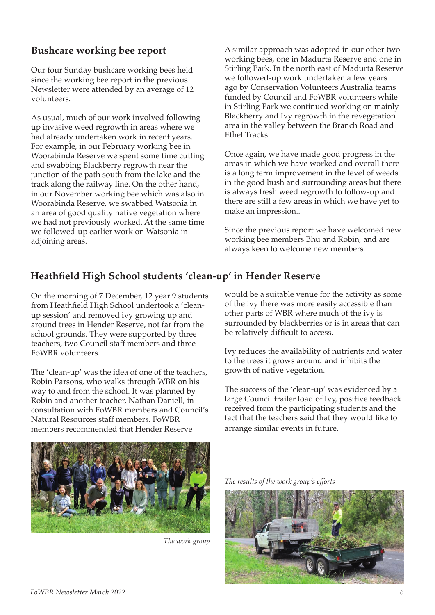# **Bushcare working bee report**

Our four Sunday bushcare working bees held since the working bee report in the previous Newsletter were attended by an average of 12 volunteers.

As usual, much of our work involved followingup invasive weed regrowth in areas where we had already undertaken work in recent years. For example, in our February working bee in Woorabinda Reserve we spent some time cutting and swabbing Blackberry regrowth near the junction of the path south from the lake and the track along the railway line. On the other hand, in our November working bee which was also in Woorabinda Reserve, we swabbed Watsonia in an area of good quality native vegetation where we had not previously worked. At the same time we followed-up earlier work on Watsonia in adjoining areas.

A similar approach was adopted in our other two working bees, one in Madurta Reserve and one in Stirling Park. In the north east of Madurta Reserve we followed-up work undertaken a few years ago by Conservation Volunteers Australia teams funded by Council and FoWBR volunteers while in Stirling Park we continued working on mainly Blackberry and Ivy regrowth in the revegetation area in the valley between the Branch Road and Ethel Tracks

Once again, we have made good progress in the areas in which we have worked and overall there is a long term improvement in the level of weeds in the good bush and surrounding areas but there is always fresh weed regrowth to follow-up and there are still a few areas in which we have yet to make an impression..

Since the previous report we have welcomed new working bee members Bhu and Robin, and are always keen to welcome new members.

# **Heathfield High School students 'clean-up' in Hender Reserve**

On the morning of 7 December, 12 year 9 students from Heathfield High School undertook a 'cleanup session' and removed ivy growing up and around trees in Hender Reserve, not far from the school grounds. They were supported by three teachers, two Council staff members and three FoWBR volunteers.

The 'clean-up' was the idea of one of the teachers, Robin Parsons, who walks through WBR on his way to and from the school. It was planned by Robin and another teacher, Nathan Daniell, in consultation with FoWBR members and Council's Natural Resources staff members. FoWBR members recommended that Hender Reserve

would be a suitable venue for the activity as some of the ivy there was more easily accessible than other parts of WBR where much of the ivy is surrounded by blackberries or is in areas that can be relatively difficult to access.

Ivy reduces the availability of nutrients and water to the trees it grows around and inhibits the growth of native vegetation.

The success of the 'clean-up' was evidenced by a large Council trailer load of Ivy, positive feedback received from the participating students and the fact that the teachers said that they would like to arrange similar events in future.



*The work group*

*The results of the work group's efforts*

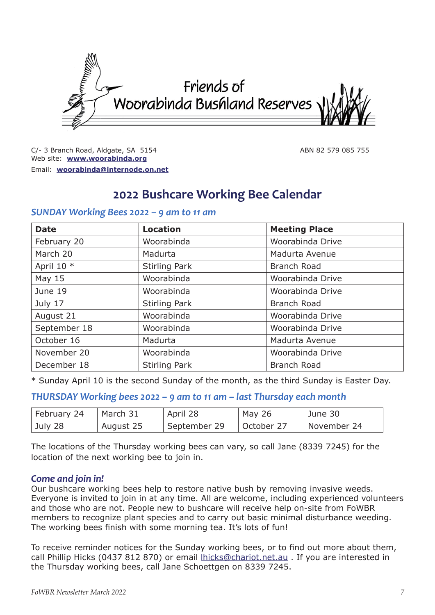

C/- 3 Branch Road, Aldgate, SA 5154 ABN 82 579 085 755 Web site: **www.woorabinda.org** Email: **woorabinda@internode.on.net**

# **2022 Bushcare Working Bee Calendar**

## *SUNDAY Working Bees 2022 – 9 am to 11 am*

| <b>Date</b>  | <b>Location</b>      | <b>Meeting Place</b> |  |
|--------------|----------------------|----------------------|--|
| February 20  | Woorabinda           | Woorabinda Drive     |  |
| March 20     | Madurta              | Madurta Avenue       |  |
| April 10 *   | <b>Stirling Park</b> | <b>Branch Road</b>   |  |
| May 15       | Woorabinda           | Woorabinda Drive     |  |
| June 19      | Woorabinda           | Woorabinda Drive     |  |
| July 17      | <b>Stirling Park</b> | <b>Branch Road</b>   |  |
| August 21    | Woorabinda           | Woorabinda Drive     |  |
| September 18 | Woorabinda           | Woorabinda Drive     |  |
| October 16   | Madurta              | Madurta Avenue       |  |
| November 20  | Woorabinda           | Woorabinda Drive     |  |
| December 18  | <b>Stirling Park</b> | <b>Branch Road</b>   |  |

\* Sunday April 10 is the second Sunday of the month, as the third Sunday is Easter Day.

## *THURSDAY Working bees 2022 – 9 am to 11 am – last Thursday each month*

| February 24 | March 31  | April 28     | May 26     | June 30       |
|-------------|-----------|--------------|------------|---------------|
| July 28     | August 25 | September 29 | October 27 | └ November 24 |

The locations of the Thursday working bees can vary, so call Jane (8339 7245) for the location of the next working bee to join in.

## *Come and join in!*

Our bushcare working bees help to restore native bush by removing invasive weeds. Everyone is invited to join in at any time. All are welcome, including experienced volunteers and those who are not. People new to bushcare will receive help on-site from FoWBR members to recognize plant species and to carry out basic minimal disturbance weeding. The working bees finish with some morning tea. It's lots of fun!

To receive reminder notices for the Sunday working bees, or to find out more about them, call Phillip Hicks (0437 812 870) or email lhicks@chariot.net.au . If you are interested in the Thursday working bees, call Jane Schoettgen on 8339 7245.